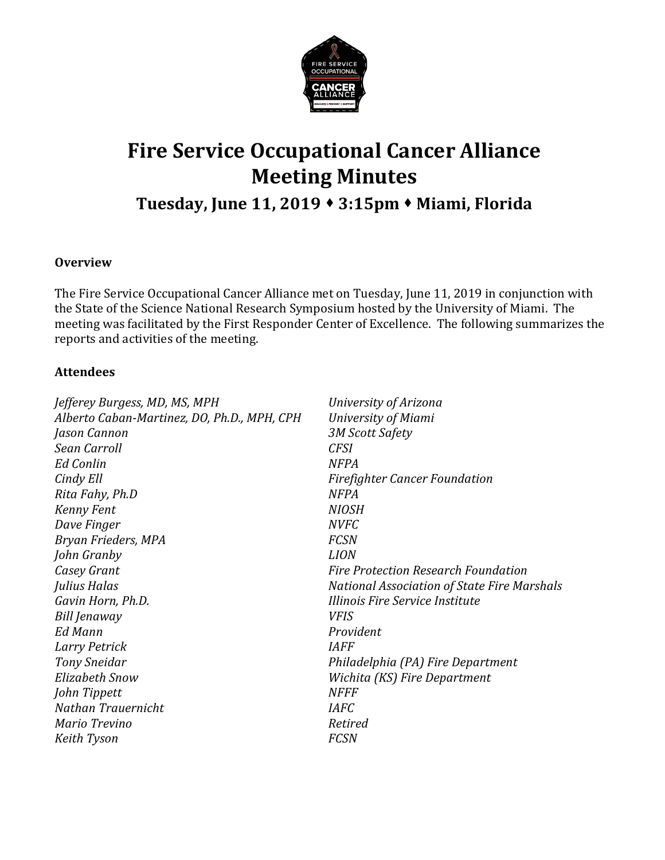

# **Fire Service Occupational Cancer Alliance Meeting Minutes**

# **Tuesday, June 11, 2019 3:15pm Miami, Florida**

# **Overview**

The Fire Service Occupational Cancer Alliance met on Tuesday, June 11, 2019 in conjunction with the State of the Science National Research Symposium hosted by the University of Miami. The meeting was facilitated by the First Responder Center of Excellence. The following summarizes the reports and activities of the meeting.

#### **Attendees**

| Jefferey Burgess, MD, MS, MPH               | University of Arizona                       |
|---------------------------------------------|---------------------------------------------|
| Alberto Caban-Martinez, DO, Ph.D., MPH, CPH | University of Miami                         |
| Jason Cannon                                | <b>3M Scott Safety</b>                      |
| Sean Carroll                                | <b>CFSI</b>                                 |
| <b>Ed Conlin</b>                            | <b>NFPA</b>                                 |
| Cindy Ell                                   | <b>Firefighter Cancer Foundation</b>        |
| Rita Fahy, Ph.D                             | <b>NFPA</b>                                 |
| Kenny Fent                                  | <b>NIOSH</b>                                |
| Dave Finger                                 | <b>NVFC</b>                                 |
| Bryan Frieders, MPA                         | <b>FCSN</b>                                 |
| John Granby                                 | <b>LION</b>                                 |
| Casey Grant                                 | <b>Fire Protection Research Foundation</b>  |
| Julius Halas                                | National Association of State Fire Marshals |
| Gavin Horn, Ph.D.                           | Illinois Fire Service Institute             |
| Bill Jenaway                                | <b>VFIS</b>                                 |
| Ed Mann                                     | Provident                                   |
| Larry Petrick                               | <b>IAFF</b>                                 |
| <b>Tony Sneidar</b>                         | Philadelphia (PA) Fire Department           |
| Elizabeth Snow                              | Wichita (KS) Fire Department                |
| John Tippett                                | <b>NFFF</b>                                 |
| Nathan Trauernicht                          | <b>IAFC</b>                                 |
| Mario Trevino                               | Retired                                     |
| Keith Tyson                                 | <b>FCSN</b>                                 |
|                                             |                                             |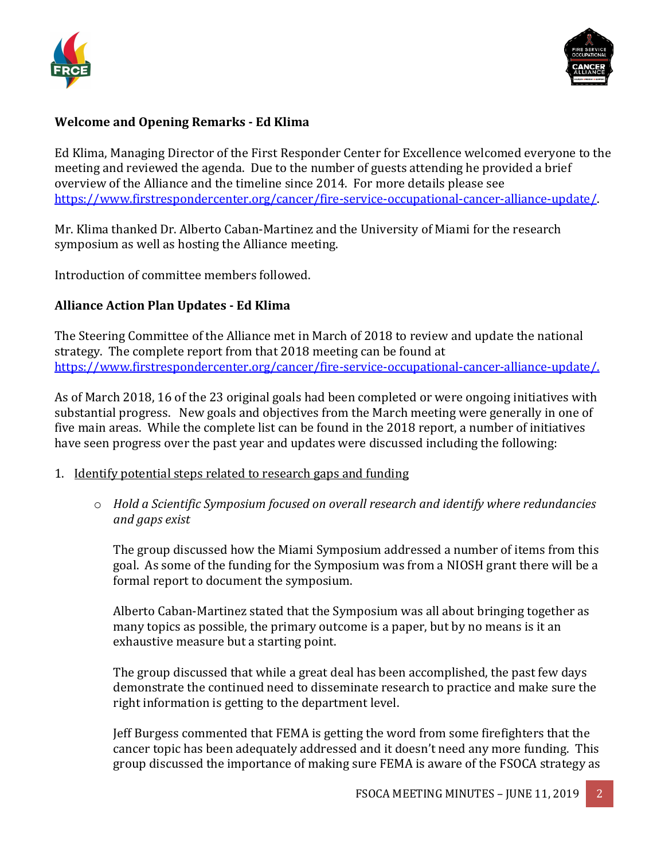



### **Welcome and Opening Remarks - Ed Klima**

Ed Klima, Managing Director of the First Responder Center for Excellence welcomed everyone to the meeting and reviewed the agenda. Due to the number of guests attending he provided a brief overview of the Alliance and the timeline since 2014. For more details please see [https://www.firstrespondercenter.org/cancer/fire-service-occupational-cancer-alliance-update/.](https://www.firstrespondercenter.org/cancer/fire-service-occupational-cancer-alliance-update/)

Mr. Klima thanked Dr. Alberto Caban-Martinez and the University of Miami for the research symposium as well as hosting the Alliance meeting.

Introduction of committee members followed.

# **Alliance Action Plan Updates - Ed Klima**

The Steering Committee of the Alliance met in March of 2018 to review and update the national strategy. The complete report from that 2018 meeting can be found at [https://www.firstrespondercenter.org/cancer/fire-service-occupational-cancer-alliance-update/.](https://www.firstrespondercenter.org/cancer/fire-service-occupational-cancer-alliance-update/)

As of March 2018, 16 of the 23 original goals had been completed or were ongoing initiatives with substantial progress. New goals and objectives from the March meeting were generally in one of five main areas. While the complete list can be found in the 2018 report, a number of initiatives have seen progress over the past year and updates were discussed including the following:

- 1. Identify potential steps related to research gaps and funding
	- o *Hold a Scientific Symposium focused on overall research and identify where redundancies and gaps exist*

The group discussed how the Miami Symposium addressed a number of items from this goal. As some of the funding for the Symposium was from a NIOSH grant there will be a formal report to document the symposium.

Alberto Caban-Martinez stated that the Symposium was all about bringing together as many topics as possible, the primary outcome is a paper, but by no means is it an exhaustive measure but a starting point.

The group discussed that while a great deal has been accomplished, the past few days demonstrate the continued need to disseminate research to practice and make sure the right information is getting to the department level.

Jeff Burgess commented that FEMA is getting the word from some firefighters that the cancer topic has been adequately addressed and it doesn't need any more funding. This group discussed the importance of making sure FEMA is aware of the FSOCA strategy as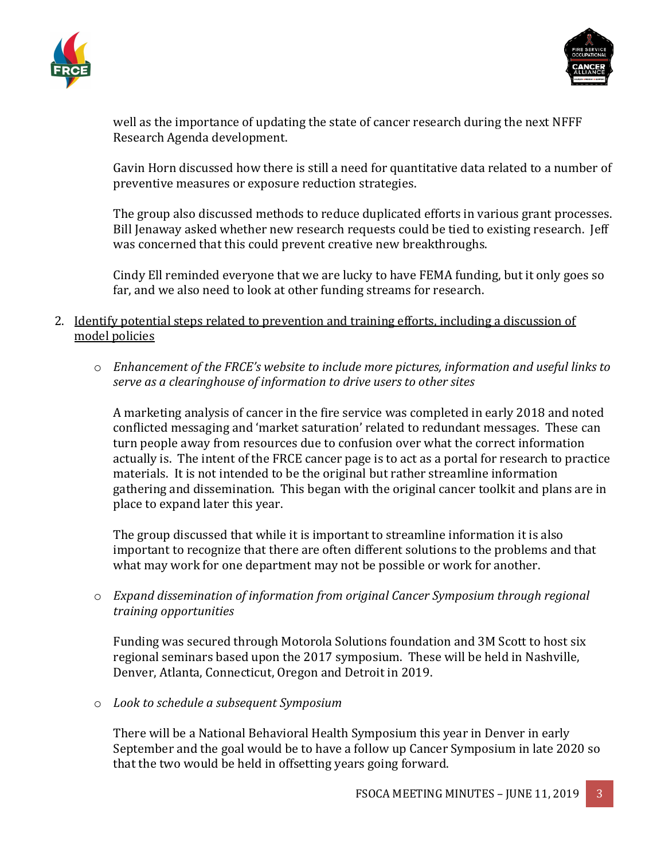



well as the importance of updating the state of cancer research during the next NFFF Research Agenda development.

Gavin Horn discussed how there is still a need for quantitative data related to a number of preventive measures or exposure reduction strategies.

The group also discussed methods to reduce duplicated efforts in various grant processes. Bill Jenaway asked whether new research requests could be tied to existing research. Jeff was concerned that this could prevent creative new breakthroughs.

Cindy Ell reminded everyone that we are lucky to have FEMA funding, but it only goes so far, and we also need to look at other funding streams for research.

- 2. Identify potential steps related to prevention and training efforts, including a discussion of model policies
	- o *Enhancement of the FRCE's website to include more pictures, information and useful links to serve as a clearinghouse of information to drive users to other sites*

A marketing analysis of cancer in the fire service was completed in early 2018 and noted conflicted messaging and 'market saturation' related to redundant messages. These can turn people away from resources due to confusion over what the correct information actually is. The intent of the FRCE cancer page is to act as a portal for research to practice materials. It is not intended to be the original but rather streamline information gathering and dissemination. This began with the original cancer toolkit and plans are in place to expand later this year.

The group discussed that while it is important to streamline information it is also important to recognize that there are often different solutions to the problems and that what may work for one department may not be possible or work for another.

o *Expand dissemination of information from original Cancer Symposium through regional training opportunities*

Funding was secured through Motorola Solutions foundation and 3M Scott to host six regional seminars based upon the 2017 symposium. These will be held in Nashville, Denver, Atlanta, Connecticut, Oregon and Detroit in 2019.

o *Look to schedule a subsequent Symposium*

There will be a National Behavioral Health Symposium this year in Denver in early September and the goal would be to have a follow up Cancer Symposium in late 2020 so that the two would be held in offsetting years going forward.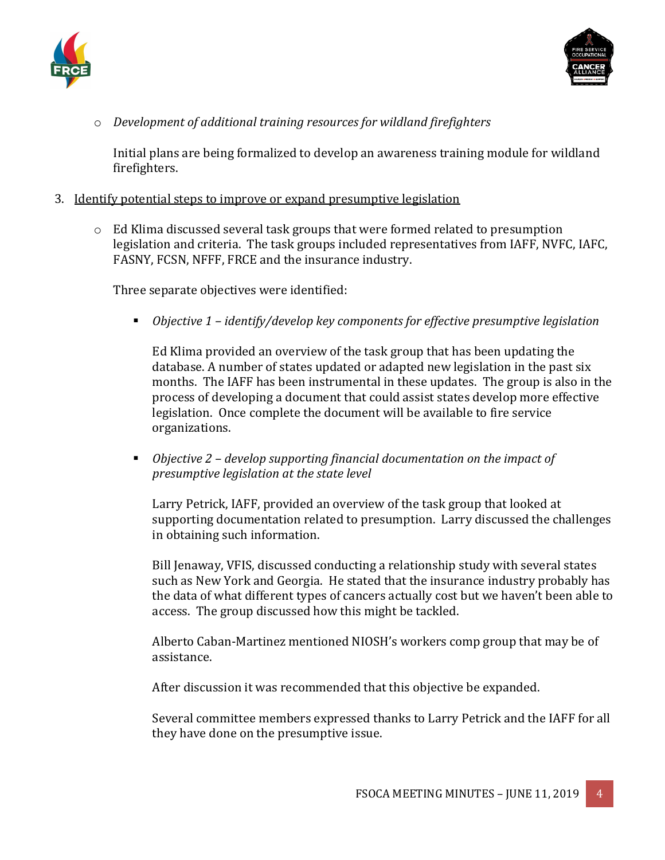



o *Development of additional training resources for wildland firefighters*

Initial plans are being formalized to develop an awareness training module for wildland firefighters.

- 3. Identify potential steps to improve or expand presumptive legislation
	- $\circ$  Ed Klima discussed several task groups that were formed related to presumption legislation and criteria. The task groups included representatives from IAFF, NVFC, IAFC, FASNY, FCSN, NFFF, FRCE and the insurance industry.

Three separate objectives were identified:

*Objective 1 – identify/develop key components for effective presumptive legislation*

Ed Klima provided an overview of the task group that has been updating the database. A number of states updated or adapted new legislation in the past six months. The IAFF has been instrumental in these updates. The group is also in the process of developing a document that could assist states develop more effective legislation. Once complete the document will be available to fire service organizations.

 *Objective 2 – develop supporting financial documentation on the impact of presumptive legislation at the state level* 

Larry Petrick, IAFF, provided an overview of the task group that looked at supporting documentation related to presumption. Larry discussed the challenges in obtaining such information.

Bill Jenaway, VFIS, discussed conducting a relationship study with several states such as New York and Georgia. He stated that the insurance industry probably has the data of what different types of cancers actually cost but we haven't been able to access. The group discussed how this might be tackled.

Alberto Caban-Martinez mentioned NIOSH's workers comp group that may be of assistance.

After discussion it was recommended that this objective be expanded.

Several committee members expressed thanks to Larry Petrick and the IAFF for all they have done on the presumptive issue.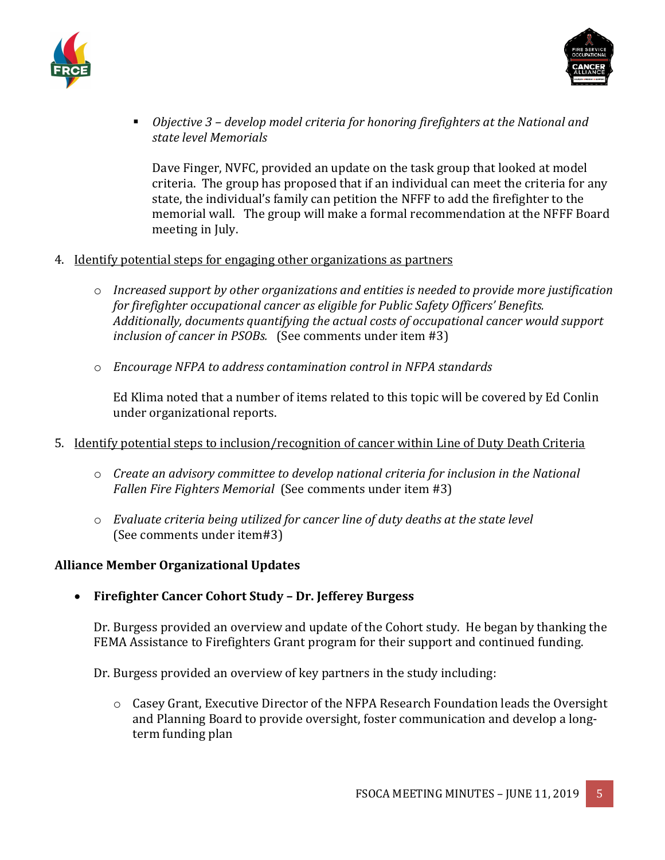



 *Objective 3 – develop model criteria for honoring firefighters at the National and state level Memorials*

Dave Finger, NVFC, provided an update on the task group that looked at model criteria. The group has proposed that if an individual can meet the criteria for any state, the individual's family can petition the NFFF to add the firefighter to the memorial wall. The group will make a formal recommendation at the NFFF Board meeting in July.

- 4. Identify potential steps for engaging other organizations as partners
	- o *Increased support by other organizations and entities is needed to provide more justification for firefighter occupational cancer as eligible for Public Safety Officers' Benefits. Additionally, documents quantifying the actual costs of occupational cancer would support inclusion of cancer in PSOBs.* (See comments under item #3)
	- o *Encourage NFPA to address contamination control in NFPA standards*

Ed Klima noted that a number of items related to this topic will be covered by Ed Conlin under organizational reports.

- 5. Identify potential steps to inclusion/recognition of cancer within Line of Duty Death Criteria
	- o *Create an advisory committee to develop national criteria for inclusion in the National Fallen Fire Fighters Memorial* (See comments under item #3)
	- o *Evaluate criteria being utilized for cancer line of duty deaths at the state level* (See comments under item#3)

# **Alliance Member Organizational Updates**

• **Firefighter Cancer Cohort Study – Dr. Jefferey Burgess**

Dr. Burgess provided an overview and update of the Cohort study. He began by thanking the FEMA Assistance to Firefighters Grant program for their support and continued funding.

Dr. Burgess provided an overview of key partners in the study including:

o Casey Grant, Executive Director of the NFPA Research Foundation leads the Oversight and Planning Board to provide oversight, foster communication and develop a longterm funding plan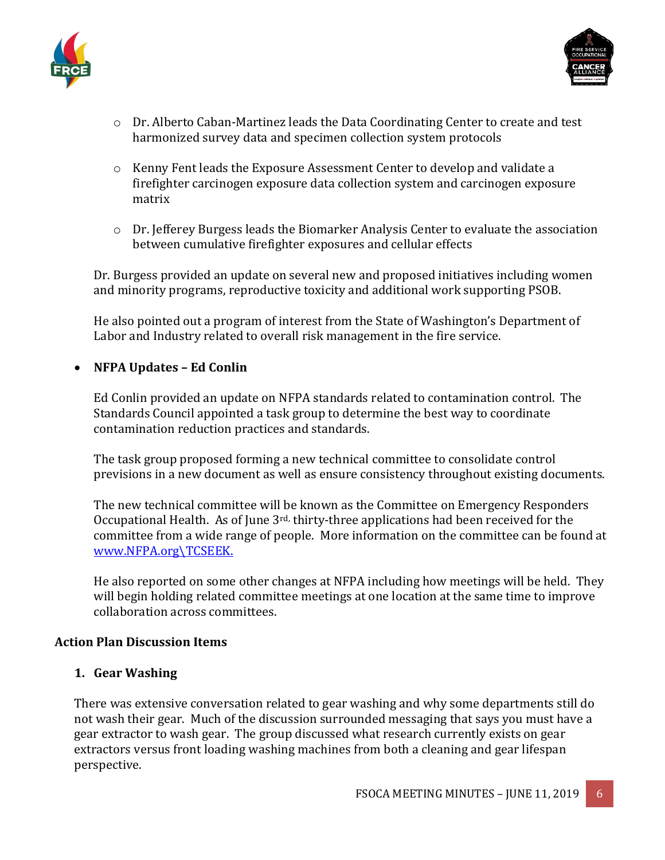



- o Dr. Alberto Caban-Martinez leads the Data Coordinating Center to create and test harmonized survey data and specimen collection system protocols
- o Kenny Fent leads the Exposure Assessment Center to develop and validate a firefighter carcinogen exposure data collection system and carcinogen exposure matrix
- $\circ$  Dr. Jefferey Burgess leads the Biomarker Analysis Center to evaluate the association between cumulative firefighter exposures and cellular effects

Dr. Burgess provided an update on several new and proposed initiatives including women and minority programs, reproductive toxicity and additional work supporting PSOB.

He also pointed out a program of interest from the State of Washington's Department of Labor and Industry related to overall risk management in the fire service.

# • **NFPA Updates – Ed Conlin**

Ed Conlin provided an update on NFPA standards related to contamination control. The Standards Council appointed a task group to determine the best way to coordinate contamination reduction practices and standards.

The task group proposed forming a new technical committee to consolidate control previsions in a new document as well as ensure consistency throughout existing documents.

The new technical committee will be known as the Committee on Emergency Responders Occupational Health. As of June 3<sup>rd,</sup> thirty-three applications had been received for the committee from a wide range of people. More information on the committee can be found at [www.NFPA.org\TCSEEK.](http://www.nfpa.org/TCSEEK)

He also reported on some other changes at NFPA including how meetings will be held. They will begin holding related committee meetings at one location at the same time to improve collaboration across committees.

#### **Action Plan Discussion Items**

#### **1. Gear Washing**

There was extensive conversation related to gear washing and why some departments still do not wash their gear. Much of the discussion surrounded messaging that says you must have a gear extractor to wash gear. The group discussed what research currently exists on gear extractors versus front loading washing machines from both a cleaning and gear lifespan perspective.